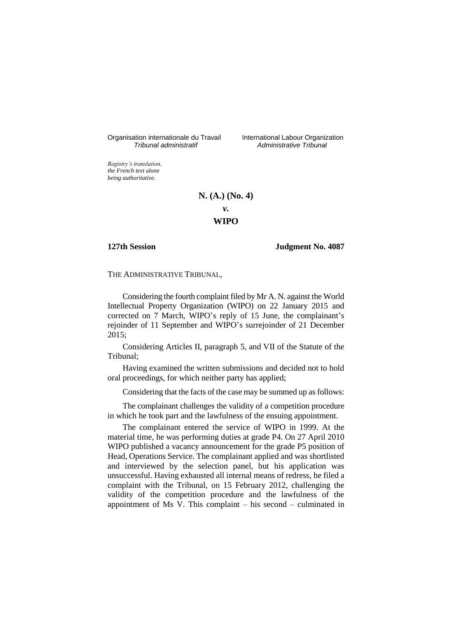Organisation internationale du Travail International Labour Organization<br>*Tribunal administratif Administrative Tribunal* 

*Tribunal administratif Administrative Tribunal*

*Registry's translation, the French text alone being authoritative.*

# **N. (A.) (No. 4)**

*v.*

# **WIPO**

**127th Session Judgment No. 4087**

THE ADMINISTRATIVE TRIBUNAL,

Considering the fourth complaint filed by Mr A. N. against the World Intellectual Property Organization (WIPO) on 22 January 2015 and corrected on 7 March, WIPO's reply of 15 June, the complainant's rejoinder of 11 September and WIPO's surrejoinder of 21 December 2015;

Considering Articles II, paragraph 5, and VII of the Statute of the Tribunal;

Having examined the written submissions and decided not to hold oral proceedings, for which neither party has applied;

Considering that the facts of the case may be summed up as follows:

The complainant challenges the validity of a competition procedure in which he took part and the lawfulness of the ensuing appointment.

The complainant entered the service of WIPO in 1999. At the material time, he was performing duties at grade P4. On 27 April 2010 WIPO published a vacancy announcement for the grade P5 position of Head, Operations Service. The complainant applied and was shortlisted and interviewed by the selection panel, but his application was unsuccessful. Having exhausted all internal means of redress, he filed a complaint with the Tribunal, on 15 February 2012, challenging the validity of the competition procedure and the lawfulness of the appointment of Ms V. This complaint – his second – culminated in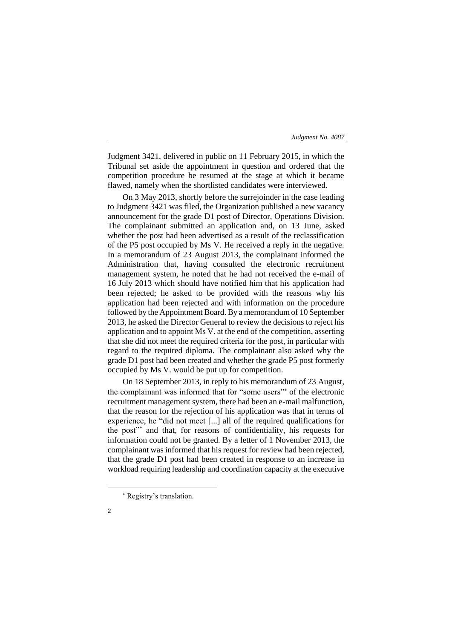Judgment 3421, delivered in public on 11 February 2015, in which the Tribunal set aside the appointment in question and ordered that the competition procedure be resumed at the stage at which it became flawed, namely when the shortlisted candidates were interviewed.

On 3 May 2013, shortly before the surrejoinder in the case leading to Judgment 3421 was filed, the Organization published a new vacancy announcement for the grade D1 post of Director, Operations Division. The complainant submitted an application and, on 13 June, asked whether the post had been advertised as a result of the reclassification of the P5 post occupied by Ms V. He received a reply in the negative. In a memorandum of 23 August 2013, the complainant informed the Administration that, having consulted the electronic recruitment management system, he noted that he had not received the e-mail of 16 July 2013 which should have notified him that his application had been rejected; he asked to be provided with the reasons why his application had been rejected and with information on the procedure followed by the Appointment Board. By a memorandum of 10 September 2013, he asked the Director General to review the decisions to reject his application and to appoint Ms V. at the end of the competition, asserting that she did not meet the required criteria for the post, in particular with regard to the required diploma. The complainant also asked why the grade D1 post had been created and whether the grade P5 post formerly occupied by Ms V. would be put up for competition.

On 18 September 2013, in reply to his memorandum of 23 August, the complainant was informed that for "some users"<sup>\*</sup> of the electronic recruitment management system, there had been an e-mail malfunction, that the reason for the rejection of his application was that in terms of experience, he "did not meet [...] all of the required qualifications for the post"\* and that, for reasons of confidentiality, his requests for information could not be granted. By a letter of 1 November 2013, the complainant was informed that his request for review had been rejected, that the grade D1 post had been created in response to an increase in workload requiring leadership and coordination capacity at the executive

Registry's translation.



-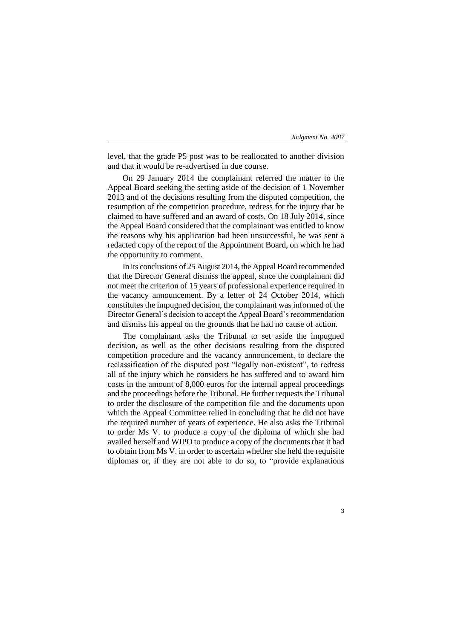level, that the grade P5 post was to be reallocated to another division and that it would be re-advertised in due course.

On 29 January 2014 the complainant referred the matter to the Appeal Board seeking the setting aside of the decision of 1 November 2013 and of the decisions resulting from the disputed competition, the resumption of the competition procedure, redress for the injury that he claimed to have suffered and an award of costs. On 18 July 2014, since the Appeal Board considered that the complainant was entitled to know the reasons why his application had been unsuccessful, he was sent a redacted copy of the report of the Appointment Board, on which he had the opportunity to comment.

In its conclusions of 25 August 2014, the Appeal Board recommended that the Director General dismiss the appeal, since the complainant did not meet the criterion of 15 years of professional experience required in the vacancy announcement. By a letter of 24 October 2014, which constitutes the impugned decision, the complainant was informed of the Director General's decision to accept the Appeal Board's recommendation and dismiss his appeal on the grounds that he had no cause of action.

The complainant asks the Tribunal to set aside the impugned decision, as well as the other decisions resulting from the disputed competition procedure and the vacancy announcement, to declare the reclassification of the disputed post "legally non-existent", to redress all of the injury which he considers he has suffered and to award him costs in the amount of 8,000 euros for the internal appeal proceedings and the proceedings before the Tribunal. He further requests the Tribunal to order the disclosure of the competition file and the documents upon which the Appeal Committee relied in concluding that he did not have the required number of years of experience. He also asks the Tribunal to order Ms V. to produce a copy of the diploma of which she had availed herself and WIPO to produce a copy of the documents that it had to obtain from Ms V. in order to ascertain whether she held the requisite diplomas or, if they are not able to do so, to "provide explanations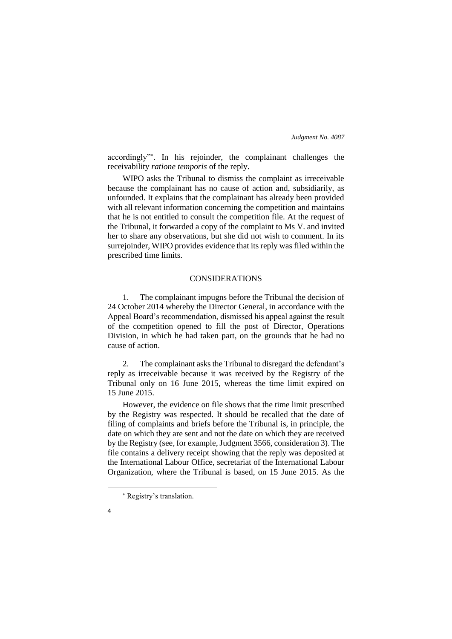accordingly" . In his rejoinder, the complainant challenges the receivability *ratione temporis* of the reply.

WIPO asks the Tribunal to dismiss the complaint as irreceivable because the complainant has no cause of action and, subsidiarily, as unfounded. It explains that the complainant has already been provided with all relevant information concerning the competition and maintains that he is not entitled to consult the competition file. At the request of the Tribunal, it forwarded a copy of the complaint to Ms V. and invited her to share any observations, but she did not wish to comment. In its surrejoinder, WIPO provides evidence that its reply was filed within the prescribed time limits.

# CONSIDERATIONS

1. The complainant impugns before the Tribunal the decision of 24 October 2014 whereby the Director General, in accordance with the Appeal Board's recommendation, dismissed his appeal against the result of the competition opened to fill the post of Director, Operations Division, in which he had taken part, on the grounds that he had no cause of action.

2. The complainant asks the Tribunal to disregard the defendant's reply as irreceivable because it was received by the Registry of the Tribunal only on 16 June 2015, whereas the time limit expired on 15 June 2015.

However, the evidence on file shows that the time limit prescribed by the Registry was respected. It should be recalled that the date of filing of complaints and briefs before the Tribunal is, in principle, the date on which they are sent and not the date on which they are received by the Registry (see, for example, Judgment 3566, consideration 3). The file contains a delivery receipt showing that the reply was deposited at the International Labour Office, secretariat of the International Labour Organization, where the Tribunal is based, on 15 June 2015. As the

4

-

Registry's translation.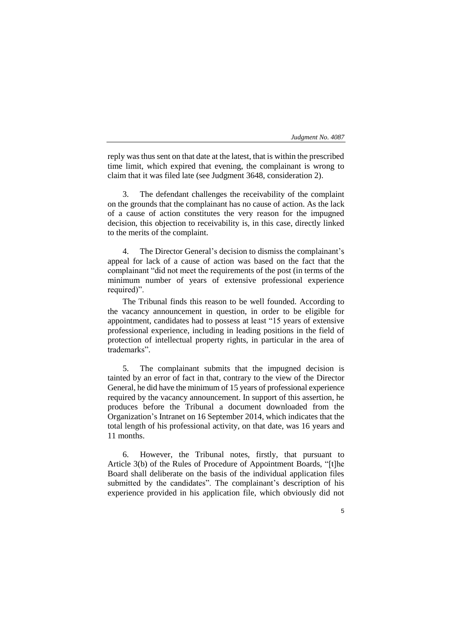5

reply was thus sent on that date at the latest, that is within the prescribed time limit, which expired that evening, the complainant is wrong to claim that it was filed late (see Judgment 3648, consideration 2).

3. The defendant challenges the receivability of the complaint on the grounds that the complainant has no cause of action. As the lack of a cause of action constitutes the very reason for the impugned decision, this objection to receivability is, in this case, directly linked to the merits of the complaint.

4. The Director General's decision to dismiss the complainant's appeal for lack of a cause of action was based on the fact that the complainant "did not meet the requirements of the post (in terms of the minimum number of years of extensive professional experience required)".

The Tribunal finds this reason to be well founded. According to the vacancy announcement in question, in order to be eligible for appointment, candidates had to possess at least "15 years of extensive professional experience, including in leading positions in the field of protection of intellectual property rights, in particular in the area of trademarks".

5. The complainant submits that the impugned decision is tainted by an error of fact in that, contrary to the view of the Director General, he did have the minimum of 15 years of professional experience required by the vacancy announcement. In support of this assertion, he produces before the Tribunal a document downloaded from the Organization's Intranet on 16 September 2014, which indicates that the total length of his professional activity, on that date, was 16 years and 11 months.

6. However, the Tribunal notes, firstly, that pursuant to Article 3(b) of the Rules of Procedure of Appointment Boards, "[t]he Board shall deliberate on the basis of the individual application files submitted by the candidates". The complainant's description of his experience provided in his application file, which obviously did not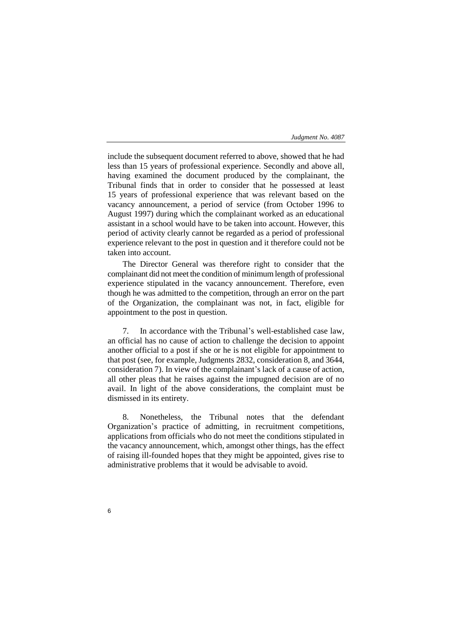include the subsequent document referred to above, showed that he had less than 15 years of professional experience. Secondly and above all, having examined the document produced by the complainant, the Tribunal finds that in order to consider that he possessed at least 15 years of professional experience that was relevant based on the vacancy announcement, a period of service (from October 1996 to August 1997) during which the complainant worked as an educational assistant in a school would have to be taken into account. However, this period of activity clearly cannot be regarded as a period of professional experience relevant to the post in question and it therefore could not be taken into account.

The Director General was therefore right to consider that the complainant did not meet the condition of minimum length of professional experience stipulated in the vacancy announcement. Therefore, even though he was admitted to the competition, through an error on the part of the Organization, the complainant was not, in fact, eligible for appointment to the post in question.

7. In accordance with the Tribunal's well-established case law, an official has no cause of action to challenge the decision to appoint another official to a post if she or he is not eligible for appointment to that post (see, for example, Judgments 2832, consideration 8, and 3644, consideration 7). In view of the complainant's lack of a cause of action, all other pleas that he raises against the impugned decision are of no avail. In light of the above considerations, the complaint must be dismissed in its entirety.

8. Nonetheless, the Tribunal notes that the defendant Organization's practice of admitting, in recruitment competitions, applications from officials who do not meet the conditions stipulated in the vacancy announcement, which, amongst other things, has the effect of raising ill-founded hopes that they might be appointed, gives rise to administrative problems that it would be advisable to avoid.

6